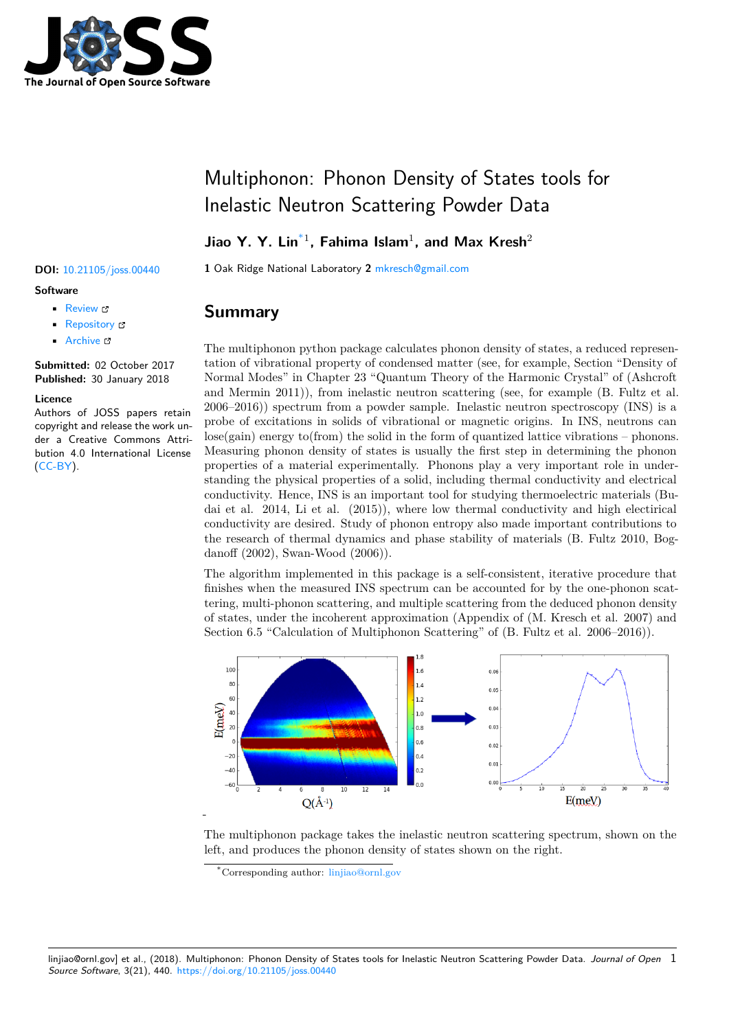

# Multiphonon: Phonon Density of States tools for Inelastic Neutron Scattering Powder Data

### **Jiao Y. Y. Lin**\*1 **, Fahima Islam**<sup>1</sup> **, and Max Kresh**<sup>2</sup>

**DOI:** 10.21105/joss.00440 **1** Oak Ridge National Laboratory **2** mkresch@gmail.com

### **Software**

- Review &
- [Repository](https://doi.org/10.21105/joss.00440) &
- Archive L'

**Subm[itted:](https://github.com/openjournals/joss-reviews/issues/440)** 02 October 2017 **Published:** [30 Ja](https://github.com/sns-chops/multiphonon)nuary 2018

### **Licen[ce](http://dx.doi.org/10.5281/zenodo.1162402)**

Authors of JOSS papers retain copyright and release the work under a Creative Commons Attribution 4.0 International License (CC-BY).

### **Summary**

The multiphonon python package calculates phonon density of states, a reduced representation of vibrational property of condensed matter (see, for example, Section "Density of Normal Modes" in Chapter 23 "Quantum Theory of the Harmonic Crystal" of (Ashcroft and Mermin 2011)), from inelastic neutron scattering (see, for example (B. Fultz et al. 2006–2016)) spectrum from a powder sample. Inelastic neutron spectroscopy (INS) is a probe of excitations in solids of vibrational or magnetic origins. In INS, neutrons can lose(gain) energy to(from) the solid in the form of quantized lattice vibrations – phonons. Measuring phonon density of states is usually the first step in determining the phonon properties of a material experimentally. Phonons play a very important role in understanding the physical properties of a solid, including thermal conductivity and electrical conductivity. Hence, INS is an important tool for studying thermoelectric materials (Budai et al. 2014, Li et al. (2015)), where low thermal conductivity and high electirical conductivity are desired. Study of phonon entropy also made important contributions to the research of thermal dynamics and phase stability of materials (B. Fultz 2010, Bogdanoff (2002), Swan-Wood (2006)).

The algorithm implemented in this package is a self-consistent, iterative procedure that finishes when the measured INS spectrum can be accounted for by the one-phonon scattering, multi-phonon scattering, and multiple scattering from the deduced phonon density of states, under the incoherent approximation (Appendix of (M. Kresch et al. 2007) and Section 6.5 "Calculation of Multiphonon Scattering" of (B. Fultz et al. 2006–2016)).



The multiphonon package takes the inelastic neutron scattering spectrum, shown on the left, and produces the phonon density of states shown on the right.

linjiao@ornl.gov] et al., (2018). Multiphonon: Phonon Density of States tools for Inelastic Neutron Scattering Powder Data. *Journal of Open* 1*Source Software*, 3(21), 440. https://doi.org/10.21105/joss.00440

<sup>\*</sup>Corresponding author: linjiao@ornl.gov